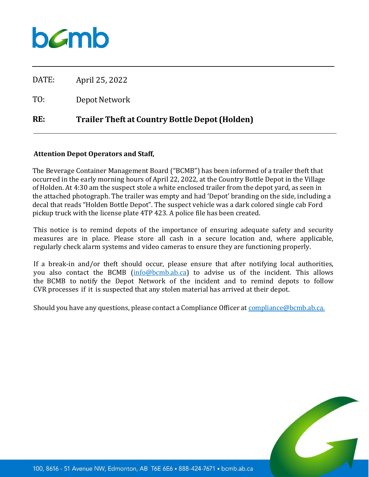

DATE: April 25, 2022

TO: Depot Network

## **RE: Trailer Theft at Country Bottle Depot (Holden)**

## **Attention Depot Operators and Staff,**

The Beverage Container Management Board ("BCMB") has been informed of a trailer theft that occurred in the early morning hours of April 22, 2022, at the Country Bottle Depot in the Village of Holden. At 4:30 am the suspect stole a white enclosed trailer from the depot yard, as seen in the attached photograph. The trailer was empty and had 'Depot' branding on the side, including a decal that reads "Holden Bottle Depot". The suspect vehicle was a dark colored single cab Ford pickup truck with the license plate 4TP 423. A police file has been created.

This notice is to remind depots of the importance of ensuring adequate safety and security measures are in place. Please store all cash in a secure location and, where applicable, regularly check alarm systems and video cameras to ensure they are functioning properly.

If a break-in and/or theft should occur, please ensure that after notifying local authorities, you also contact the BCMB [\(info@bcmb.ab.ca\)](mailto:info@bcmb.ab.ca) to advise us of the incident. This allows the BCMB to notify the Depot Network of the incident and to remind depots to follow CVR processes if it is suspected that any stolen material has arrived at their depot.

Should you have any questions, please contact a Compliance Officer at [compliance@bcmb.ab.ca.](mailto:compliance@bcmb.ab.ca)